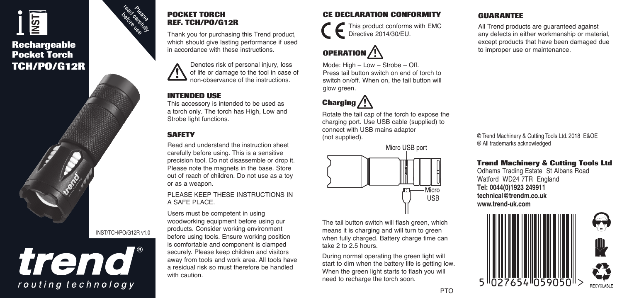# $\frac{1}{2}$

#### **Rechargeable Pocket Torch TCH/PO/G12R**



## trend routing technology



Thank you for purchasing this Trend product, which should give lasting performance if used in accordance with these instructions.



#### **INTENDED USE**

This accessory is intended to be used as a torch only. The torch has High, Low and Strobe light functions.

#### **SAFETY**

Read and understand the instruction sheet carefully before using. This is a sensitive precision tool. Do not disassemble or drop it. Please note the magnets in the base. Store out of reach of children. Do not use as a toy or as a weapon.

PLEASE KEEP THESE INSTRUCTIONS IN A SAFE PLACE.

Users must be competent in using woodworking equipment before using our products. Consider working environment before using tools. Ensure working position is comfortable and component is clamped securely. Please keep children and visitors away from tools and work area. All tools have a residual risk so must therefore be handled with caution.

#### **CE DECLARATION CONFORMITY**

This product conforms with EMC Directive 2014/30/EU.

## **OPERATION**

Mode: High – Low – Strobe – Off. Press tail button switch on end of torch to switch on/off. When on, the tail button will glow green.

## **Charging**

Rotate the tail cap of the torch to expose the charging port. Use USB cable (supplied) to connect with USB mains adaptor (not supplied).



The tail button switch will flash green, which means it is charging and will turn to green when fully charged. Battery charge time can take 2 to 2.5 hours.

During normal operating the green light will start to dim when the battery life is getting low. When the green light starts to flash you will need to recharge the torch soon.

#### **GUARANTEE**

All Trend products are guaranteed against any defects in either workmanship or material, except products that have been damaged due to improper use or maintenance.

© Trend Machinery & Cutting Tools Ltd. 2018 E&OE ® All trademarks acknowledged

#### **Trend Machinery & Cutting Tools Ltd**

Odhams Trading Estate St Albans Road Watford WD24 7TR England **Tel: 0044(0)1923 249911 technical@trendm.co.uk www.trend-uk.com**